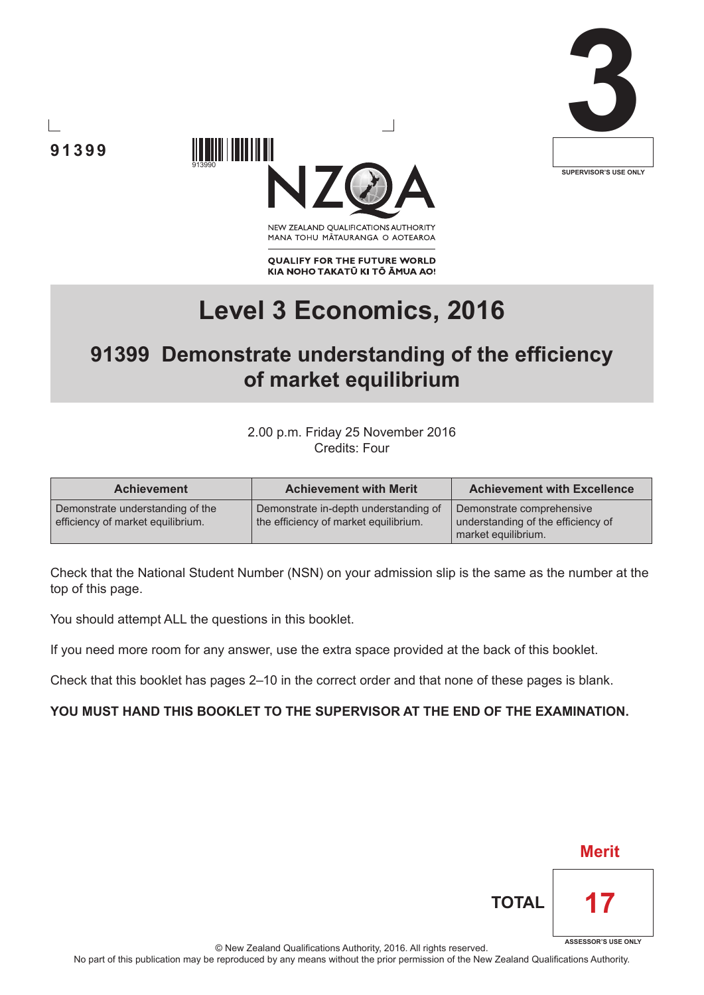





NEW ZEALAND OUALIFICATIONS AUTHORITY MANA TOHU MATAURANGA O AOTEAROA

**QUALIFY FOR THE FUTURE WORLD** KIA NOHO TAKATŪ KI TŌ ĀMUA AO!

# **Level 3 Economics, 2016**

# **91399 Demonstrate understanding of the efficiency of market equilibrium**

2.00 p.m. Friday 25 November 2016 Credits: Four

| <b>Achievement</b>                                                    | <b>Achievement with Merit</b>                                                  | <b>Achievement with Excellence</b>                                                     |
|-----------------------------------------------------------------------|--------------------------------------------------------------------------------|----------------------------------------------------------------------------------------|
| Demonstrate understanding of the<br>efficiency of market equilibrium. | Demonstrate in-depth understanding of<br>the efficiency of market equilibrium. | Demonstrate comprehensive<br>understanding of the efficiency of<br>market equilibrium. |

Check that the National Student Number (NSN) on your admission slip is the same as the number at the top of this page.

You should attempt ALL the questions in this booklet.

If you need more room for any answer, use the extra space provided at the back of this booklet.

Check that this booklet has pages 2–10 in the correct order and that none of these pages is blank.

# **YOU MUST HAND THIS BOOKLET TO THE SUPERVISOR AT THE END OF THE EXAMINATION.**

|              | <b>Merit</b>               |  |
|--------------|----------------------------|--|
| <b>TOTAL</b> |                            |  |
| ٠            | <b>ASSESSOR'S USE ONLY</b> |  |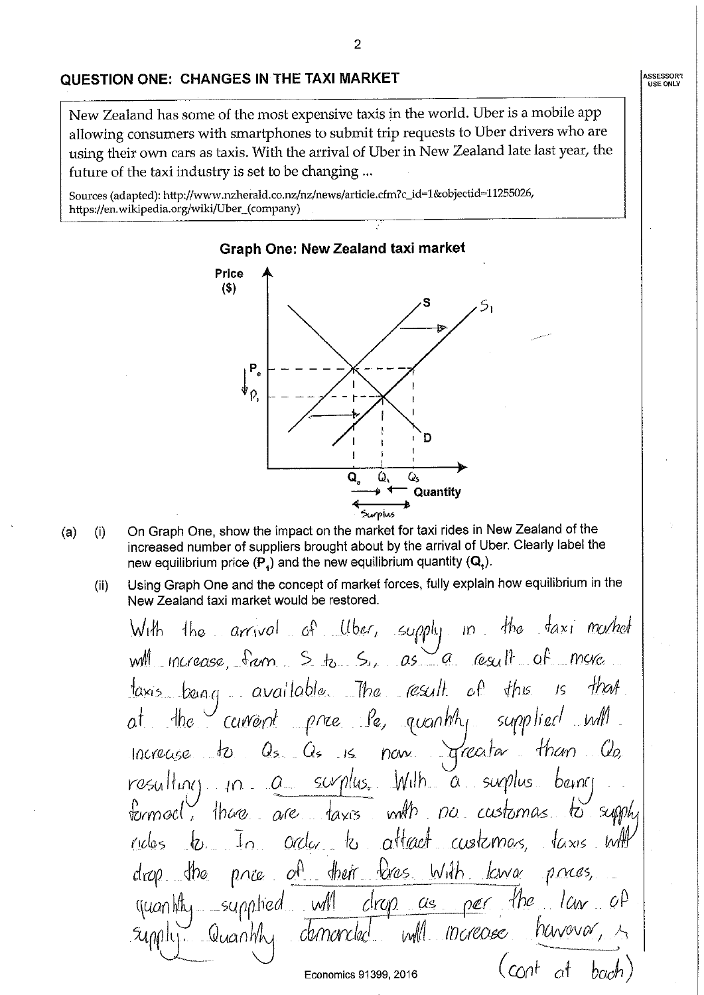#### QUESTION ONE: CHANGES IN THE TAXI MARKET

New Zealand has some of the most expensive taxis in the world. Uber is a mobile app allowing consumers with smartphones to submit trip requests to Uber drivers who are using their own cars as taxis. With the arrival of Uber in New Zealand late last year, the future of the taxi industry is set to be changing ...

Sources (adapted): http://www.nzherald.co.nz/nz/news/article.cfm?c\_id=1&objectid=11255026, https://en.wikipedia.org/wiki/Uber\_(company)



- On Graph One, show the impact on the market for taxi rides in New Zealand of the  $(i)$  $(a)$ increased number of suppliers brought about by the arrival of Uber. Clearly label the new equilibrium price  $(P_4)$  and the new equilibrium quantity  $(Q_4)$ .
	- Using Graph One and the concept of market forces, fully explain how equilibrium in the  $(ii)$ New Zealand taxi market would be restored.

With the arrival of Uber, supply in the faxi morted will increase, from S to S., as a result of more taxis bang available. The esult  $H\nu\mathscr{A}$  $c^{\text{A}}$  $\n *thus*\n$  $15$ at the current price le, quantity supplied will now greater Increase to  $Q_{5}$   $Q_{5}$  is than  $Q_{2}$  $resuHnc$ ,  $n = a$  saplus. With  $a$  suplus  $b$ anci there are taxis with no customas.  $t$  imed  $\zeta$ to supph order to attact customas.  $\frac{1}{4}$   $\alpha x$  is  $\frac{1}{4}$  $\perp$  $r$  $\omega$ os of their fores with lawar prices  $dn_{\odot}$ price dron.  $\eta$ uan $M_{\rm H}$  supplied  $M$  $clrop$  as ner <u>-</u>Yhe  $\omega$ ll moreose nawavar Eugelyn Cluantily comencial  $(\cot \ at \ back)$ Economics 91399, 2016

**ASSESSOR'!**<br>USE ONLY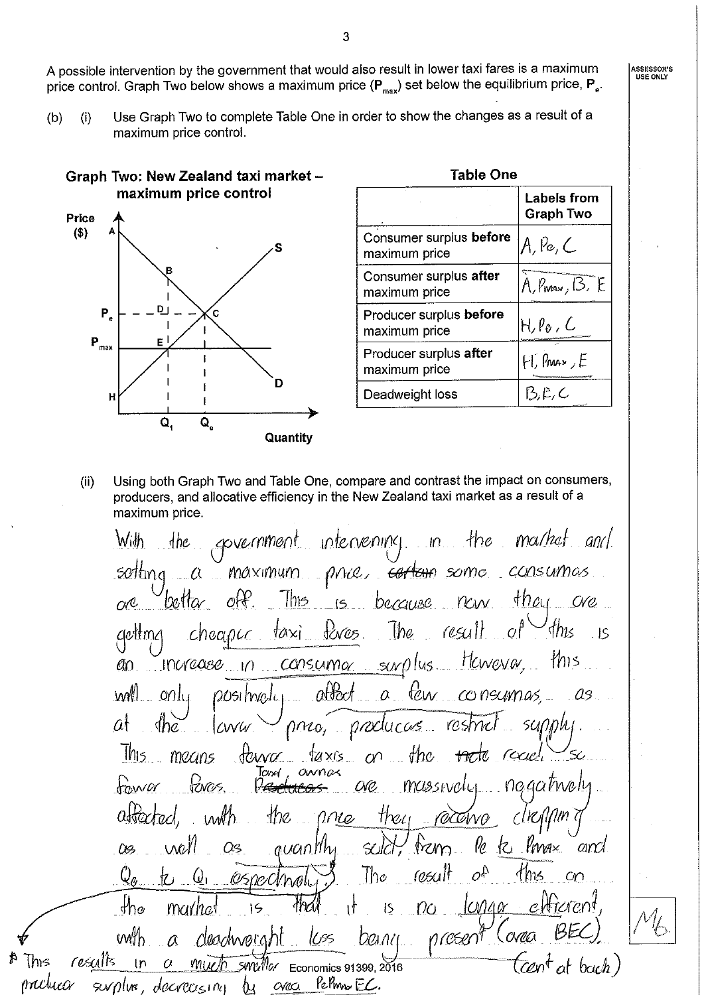A possible intervention by the government that would also result in lower taxi fares is a maximum price control. Graph Two below shows a maximum price  $(P_{max})$  set below the equilibrium price,  $P_e$ .

Use Graph Two to complete Table One in order to show the changes as a result of a  $(b)$  $(i)$ maximum price control.



ไ⁄ทร

| Table One                                |                                        |  |
|------------------------------------------|----------------------------------------|--|
|                                          | <b>Labels from</b><br><b>Graph Two</b> |  |
| Consumer surplus before<br>maximum price | A, Pe, C                               |  |
| Consumer surplus after<br>maximum price  | $A, P_{\text{max}}, B, E$              |  |
| Producer surplus before<br>maximum price | H, Po , C                              |  |
| Producer surplus after<br>maximum price  | $H$ , Pmax, $E$                        |  |
| Deadweight loss                          | 13.E, C                                |  |

 $(ii)$ Using both Graph Two and Table One, compare and contrast the impact on consumers, producers, and allocative efficiency in the New Zealand taxi market as a result of a maximum price

the government intervening in the market and With sotting a maximum price, cortain some consumas This is because now they ore bottar i off. one  $\frac{1}{2}$   $\frac{1}{2}$   $\frac{1}{2}$   $\frac{1}{2}$   $\frac{1}{2}$   $\frac{1}{2}$   $\frac{1}{2}$   $\frac{1}{2}$   $\frac{1}{2}$   $\frac{1}{2}$   $\frac{1}{2}$   $\frac{1}{2}$   $\frac{1}{2}$   $\frac{1}{2}$   $\frac{1}{2}$   $\frac{1}{2}$   $\frac{1}{2}$   $\frac{1}{2}$   $\frac{1}{2}$   $\frac{1}{2}$   $\frac{1}{2}$   $\frac{1}{2}$  'this getting  $cheapcc$  $\sqrt{5}$ an increase in consumer surplus However, this a few consumes, affect will. onlu 00silmalcı .as  $at$ sunnhi nno, producas resmit The LWW This means  $flow<sub>o</sub>$  $t$ axis on the tacte recuel Taxv1, ownas Ponces. massivaly. negatively  $f_{\alpha}$ wa l<del>educos</del> **CKC** abortad, *clreanm?* they receive the press wh le te Privax  $\frac{1}{2}$ solčit: and. Û<del>S</del> Os *guantihi* result  $o^{\Lambda}$  $4<sub>ms</sub>$  $\mathcal{Q}_a$  $\ln e$  $C<sub>m</sub>$  $Q_1$  espectmely 乜  $\n *the*\n$  $1000$  $\Omega$ eltierent. langar ۱ł  $\overline{S}$ mar*ha*i  $15$ prosent wth Conea cleachweraht **IUSS**  $DQ1111$  $\alpha$ resulis  $5000$  Economics 91399, 2016 (cen<sup>t</sup>at bach) In  $\overline{\mathcal{O}}$  $M\sqrt{h}$ Permo EC.  $O$ *Ne* $O$ Nlux decrecising ℆

ASSESSOR'S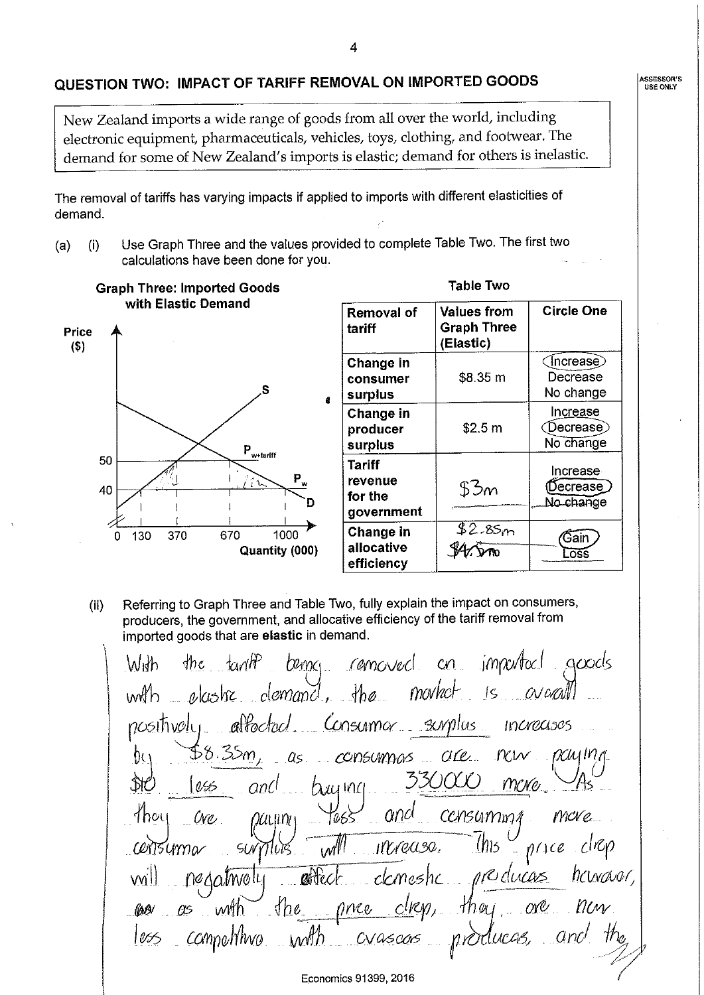### QUESTION TWO: IMPACT OF TARIFF REMOVAL ON IMPORTED GOODS

New Zealand imports a wide range of goods from all over the world, including electronic equipment, pharmaceuticals, vehicles, toys, clothing, and footwear. The demand for some of New Zealand's imports is elastic; demand for others is inelastic.

The removal of tariffs has varying impacts if applied to imports with different elasticities of demand.

Use Graph Three and the values provided to complete Table Two. The first two  $(a)$  $(i)$ calculations have been done for you.

**Graph Three: Imported Goods** with Elastic Demand **Values from Removal of** tariff **Graph Three** Price (Elastic)  $($ \$) Change in consumer S surplus Change in producer surplus  $P_{w + \text{tariff}}$ 50 **Tariff** 

40

 $\mathbf 0$ 

130

370

670

1000

Quantity (000)

Referring to Graph Three and Table Two, fully explain the impact on consumers,  $(ii)$ producers, the government, and allocative efficiency of the tariff removal from imported goods that are elastic in demand.

revenue

government

Change in

allocative

efficiency

for the

the fant? being comoved on important goods With. movket is avocal  $=$   $\alpha$ lastre  $=$   $\alpha$ lomand, the undh affoctocl Consumer surplus  $no$ sitivalu.  $IMACASOS$ consumes are now  $\alpha$ ulna  $\alpha$ <u>წი</u> 3300CO \$YC mc*wo* and 055  $h$   $\mu$   $\alpha$  $and$ more. Thoy *CONSUMMA* Ove, 2001 N T065  $w^{\prime\prime\prime}$  $ln 5$  $\int$  price Mrease. Centsumar  $50<sub>W</sub>$ herrowar, nre ducas affect ckmeshc nedatwoly  $\oint$  he  $. 00<sup>o</sup>$ once with *Compolition*  $C_{\alpha}$ 1055 CVascors nrO Economics 91399, 2016

**Table Two** 

\$8.35 m

 $$2.5 m$ 

53m

 $$2.85m$ 

**V4/vno** 

**Circle One** 

 $($  Increase $)$ 

Decrease

No change

Increase

◯Decrease)

No change

Increase

(Decrease)

No change

⁄Gain.

Loss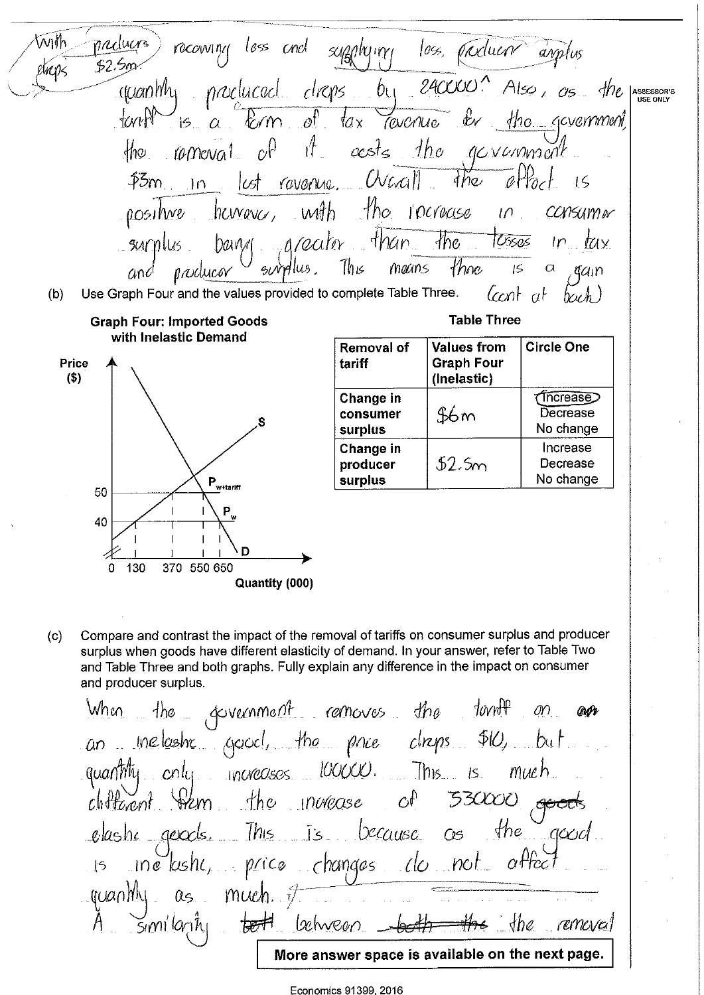With preduces) recouring less and supplying less, products anythis \$2.500 elians. procluced drops by 240000 Also, as the .cranth ASSESSOR'S<br>USE ONLY  $15. a.$  Erm of  $1a$ x der the government,  $t$  will Tevenue  $\mathcal{H}_{\mathbb{Z}}$ acsts the government  $c^{()}$  $M_{\odot}$  $10$ meval  $\overline{\mathscr{A}}$  Hack lest revenue. Overall  $the$  $15m$  $15$  $In$ with the rocrease hemavor,  $0051$  We  $10^{-1}$ CCNSUMOV bany arealor than  $\frac{1}{100}$   $\frac{105505}{100}$  $ln$   $lnx$  $surplus$ . This those means  $\sqrt{5}$  $\alpha$ and nnolucov gain Ccont at Use Graph Four and the values provided to complete Table Three.  $(b)$  $hwh$ ) **Table Three Graph Four: Imported Goods** with Inelastic Demand **Values from Circle One Removal of** Price tariff **Graph Four** (Inelastic)  $(5)$ *<u>(Increase)</u>* Change in Decrease consumer \$6 m No change surplus Change in Increase  $52.5m$ Decrease producer No change surplus  $\boldsymbol{\mathsf{P}}_{\underline{\boldsymbol{\mathsf{w}}}\text{-}\mathsf{tariff}}$ 50 40 D 130 370 550 650 0 Quantity (000)

Compare and contrast the impact of the removal of tariffs on consumer surplus and producer  $(c)$ surplus when goods have different elasticity of demand. In your answer, refer to Table Two and Table Three and both graphs. Fully explain any difference in the impact on consumer and producer surplus.

When the government removes the tonof  $\omega$ @Pv an inelastic good, the pace clieps \$10, but quantity only yourcoses looked. This is  $mueh$ chotecont Stem the invease  $C_{\psi}$ 530000 elastic geods. This is because  $the$  $C 5$ inétashe, price changes de not affect  $\vert$ 5  $qcaanh<sub>l</sub>$  as much  $\tau$ similarity <del>bet</del> lahvean  $the$ remeval More answer space is available on the next page.

Economics 91399, 2016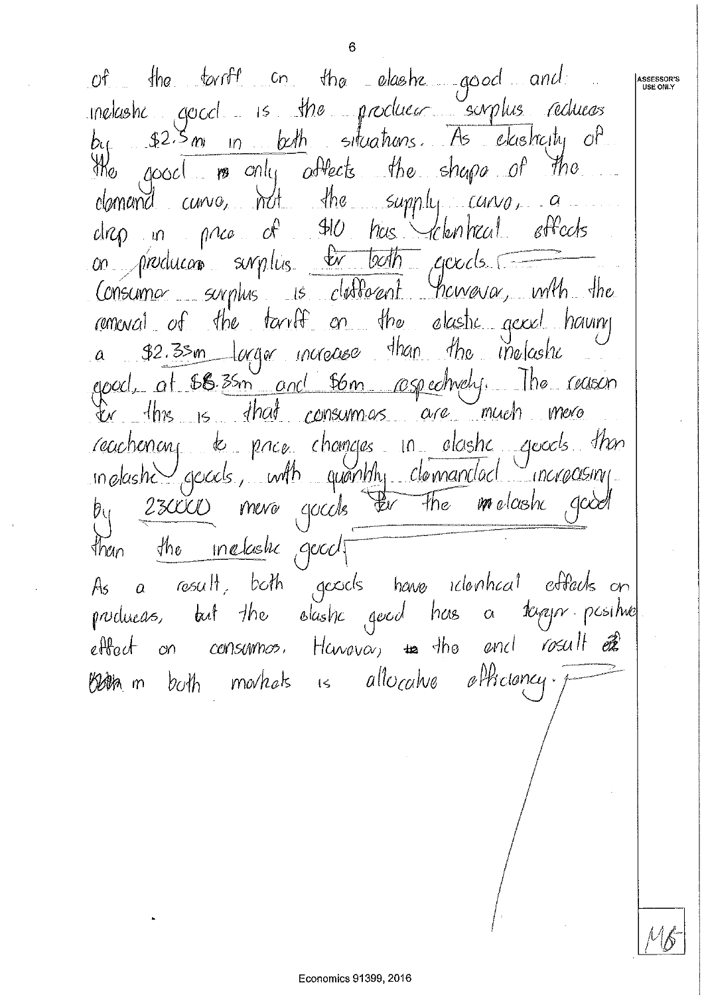Economics 91399, 2016

of the tarriff on the elastic good and ASSESSOR'S<br>USE ONLY inelastic good is the producer surplus reduces by \$2.5 m in both situations. As elasticity of the good is only affects the shape of the clamend curve, not the supply carve, a drep in price of \$10 has cleantreal effects on producon surplus <del>le both</del> goods Consuma surplus is deflorent thomasa, with the remencil of the tarriff on the alastic genel having a \$2.35m largor increase than the melastic good, at 66.35m and 56m rospectively. The reason reachenong to price changes in elastic geods then  $modash\cup$  goods, with quantity clamandad increasing. by 230000 mero gocds Fer The molashe good than the <u>inclustic</u> good As a result, both geods have identical effects on producas, but the slashe good has a kapp positive effect on consumos, Havava, to the end rosult of Both m both markets is allocatue efficiency.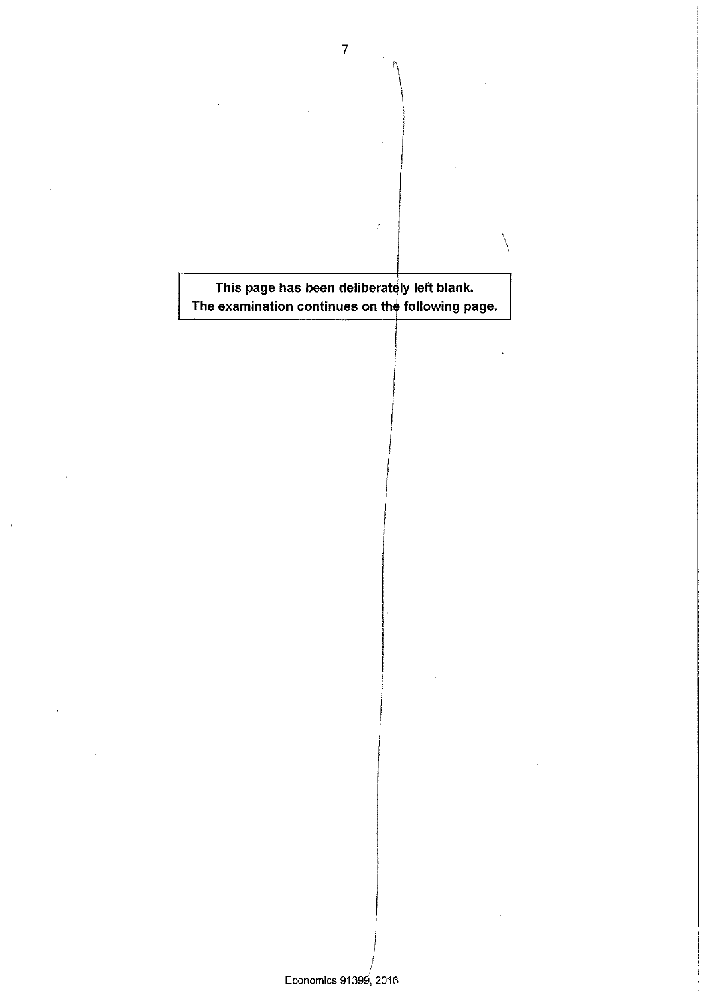This page has been deliberately left blank. The examination continues on the following page.

 $\epsilon'$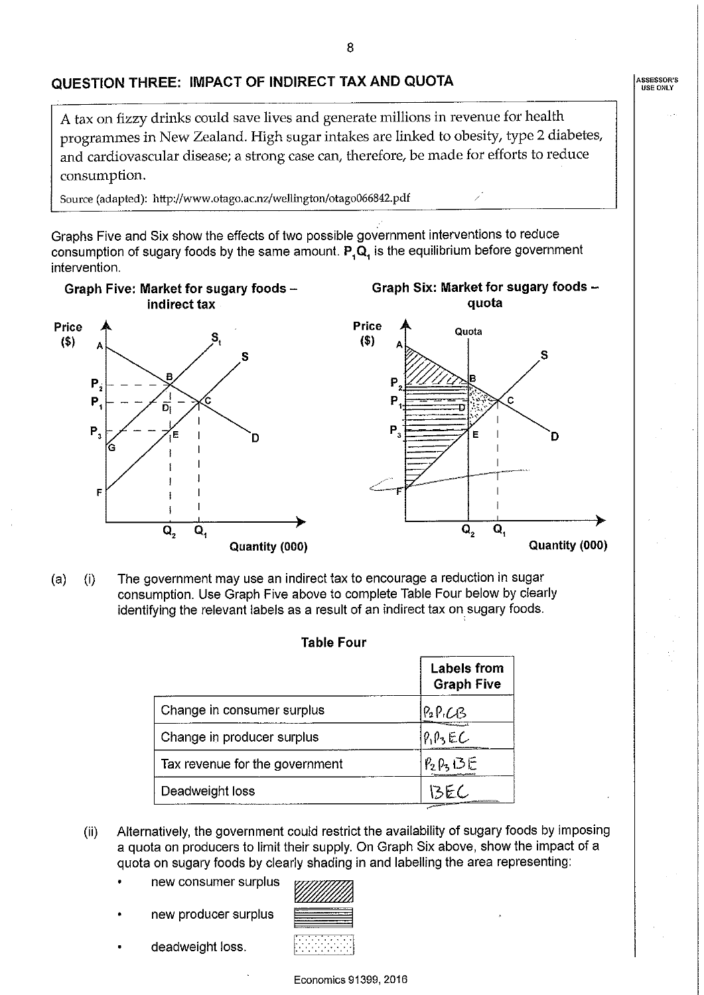# QUESTION THREE: IMPACT OF INDIRECT TAX AND QUOTA

A tax on fizzy drinks could save lives and generate millions in revenue for health programmes in New Zealand. High sugar intakes are linked to obesity, type 2 diabetes, and cardiovascular disease; a strong case can, therefore, be made for efforts to reduce consumption.

Source (adapted): http://www.otago.ac.nz/wellington/otago066842.pdf

Graphs Five and Six show the effects of two possible government interventions to reduce consumption of sugary foods by the same amount.  $P_{1}Q_{1}$  is the equilibrium before government intervention.

Graph Six: Market for sugary foods -

Graph Five: Market for sugary foods indirect tax



The government may use an indirect tax to encourage a reduction in sugar  $(a)$  $(i)$ consumption. Use Graph Five above to complete Table Four below by clearly identifying the relevant labels as a result of an indirect tax on sugary foods.

| LAUIT LUUL                     |                                         |  |
|--------------------------------|-----------------------------------------|--|
|                                | <b>Labels from</b><br><b>Graph Five</b> |  |
| Change in consumer surplus     | P2P,CB                                  |  |
| Change in producer surplus     | PIPZEC                                  |  |
| Tax revenue for the government | $P_2P_3$ $DE$                           |  |
| Deadweight loss                |                                         |  |

Table Cain

- Alternatively, the government could restrict the availability of sugary foods by imposing  $(ii)$ a quota on producers to limit their supply. On Graph Six above, show the impact of a quota on sugary foods by clearly shading in and labelling the area representing:
	- new consumer surplus
	- new producer surplus
	- deadweight loss.

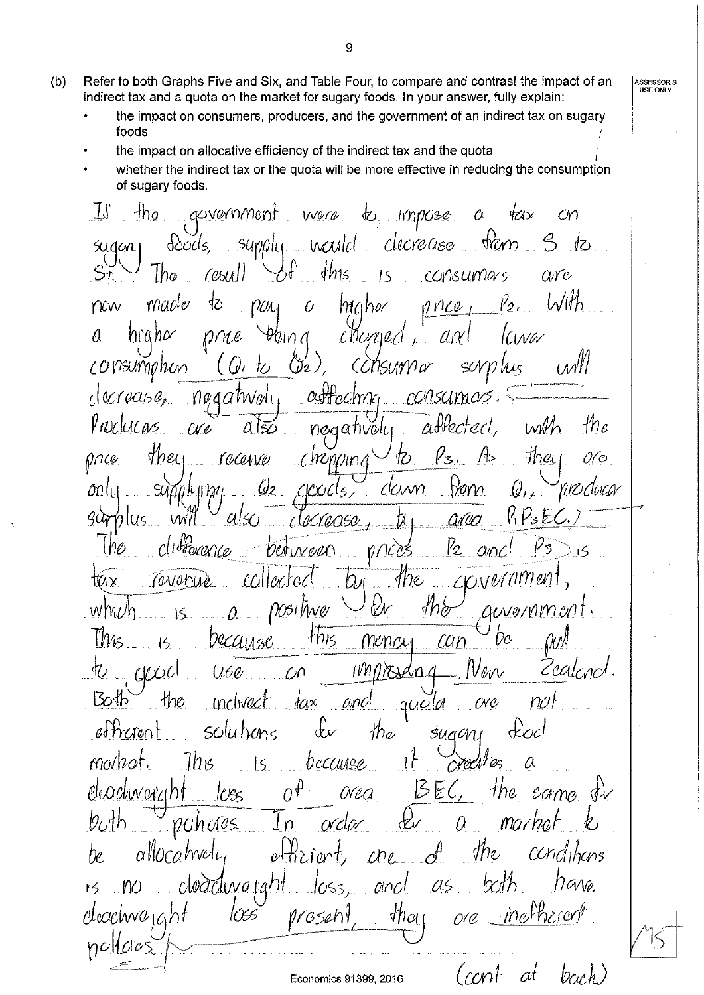- Refer to both Graphs Five and Six, and Table Four, to compare and contrast the impact of an  $(b)$ indirect tax and a quota on the market for sugary foods. In your answer, fully explain;
	- the impact on consumers, producers, and the government of an indirect tax on sugary foods
	- the impact on allocative efficiency of the indirect tax and the quota
	- whether the indirect tax or the quota will be more effective in reducing the consumption of sugary foods.

acvemment  $t_{\rm L}$  impose  $\exists \mathbf{f}$  $-h_0$  $tax$ wore  $\alpha$  $^{cn}$ supply would decrease quou <u>්/</u>ට d*oods,* Sudan<sub>1</sub>  $\n *thus*\n$ lho  $\cos\theta$ consumars arc !S Macle ١Ò  $a$  htaher new  $PUL$ nnce Y0 a nrana nne <u>fain (</u> charged  $dN$ consumphin  $\left(\mathcal{J}_{2}\right)$ (U<sub>'ta</sub> CONSUNYT*or* SUVN Ms  $(M^{\prime})^{\prime}$ derease,  $attechnc$ consumas  $0040$  Mali Proclucas -the atten with  $\alpha$ negativeli a ko tha prce Med l/з racenve 亿 0Y c Chronning  $\mathcal{Q}_2$  $\omega$ li CICXIC<sup>I</sup>S, CCWN  $N$ Q,  $K\mathcal{V}_3$ E  $900$ arca  $O(\leq t)$ ocracea lus Harence  $V_2$ between ทุกเชิร  $\alpha$ nc *sne* collectoc TOVORUÈ wnn ۲W nosi hver 1ne WML Λ  $\ell$ u Novi $\ell$ i $\ell$ i $\ell$ *The* Decuries this can mena Cealono  $CUCC$  $U5O$  $\ell\nu$ I N N Bosh inclived tax anc  $n_{\mathcal{O}}$ queta 0NC etherent solutions  $\n the \n$ dv sugan tecc markat. ျော် credi because  $\vert \varsigma$ α  $\mathcal{O}^{\hat{\varphi}}$  $B$ EC, the same eleachwarcht *Orea* 1055 ma*rhal*  $O<sup>\prime</sup>$ 0Uh*u*los Q  $\Omega$ allocahvalu conditions  $C_{\ell}$ he. Je, KΣÍ eł  $\alpha$  $\alpha$ Mave ancl ţ5 cloactivo welaht 105eh <u> Арас</u> nullaios bach)  $(coh$  $at$ 

ASSESSOR'S<br>USE ONLY

Economics 91399, 2016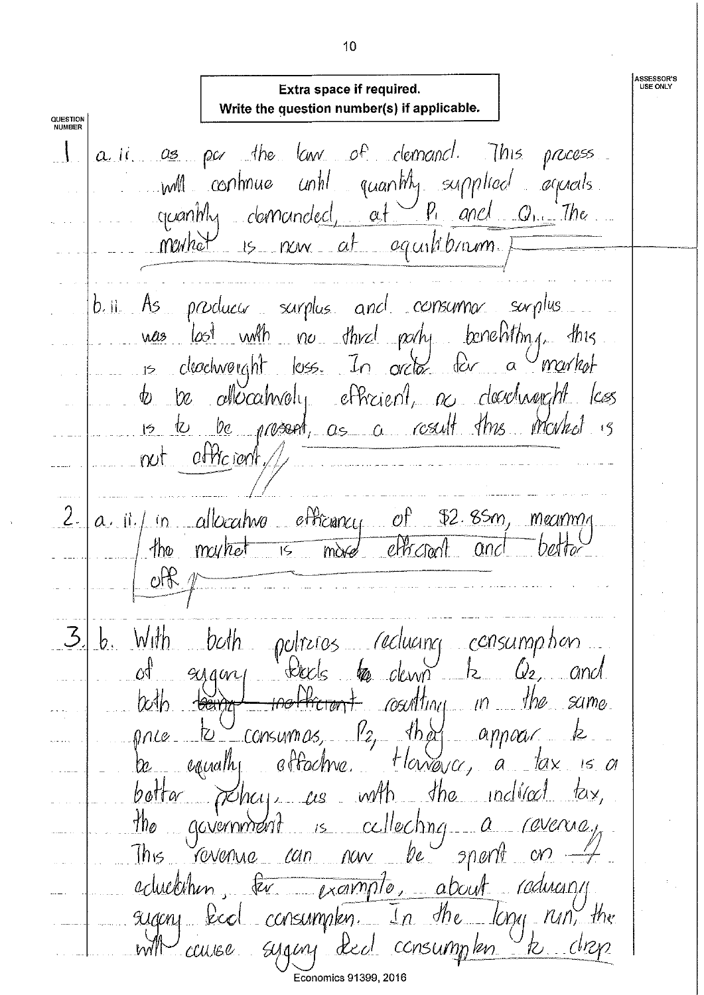**ASSESSOR'S**<br>USE ONLY Extra space if required. Write the question number(s) if applicable. **QUESTION**<br>NUMBER a ii as par the law of demand. This process quantity supplied agreeds will continue until  $q$ canthy clamanded,  $a + 9$ , and  $Q_{11}$ . The mentral is now at equilibranm. bill As producer sarplus and consumer surplus was lost with no third pachy benefitting this is clochvoight loss. In order for a market to be allocativaly efficient, as developed less is to be present, as a result this market  $not$  of the rent  $\angle$ 2.  $a, a \mid f$  in allocative efficiency of \$2.85m, meaning my/het is move efficient  $4$ ho and oH b. With both potreros reducing consumption eyam tects to dewn  $h = Q_2$  and øť counting in the same. the Hictoryt  $\omega$ th that price to consumes, P2, that appear to be equally offochine. Harrower, a lax is a botta policy as with the indirect tax,  $\n *the*\n$ crovernment is cellecting a revenue, This revenue can now be  $p$  and eduction, ter example, about reducing sugery keel consumplen. In the long run, the with cause syging deel consumplen  $k$  drop Economics 91399, 2016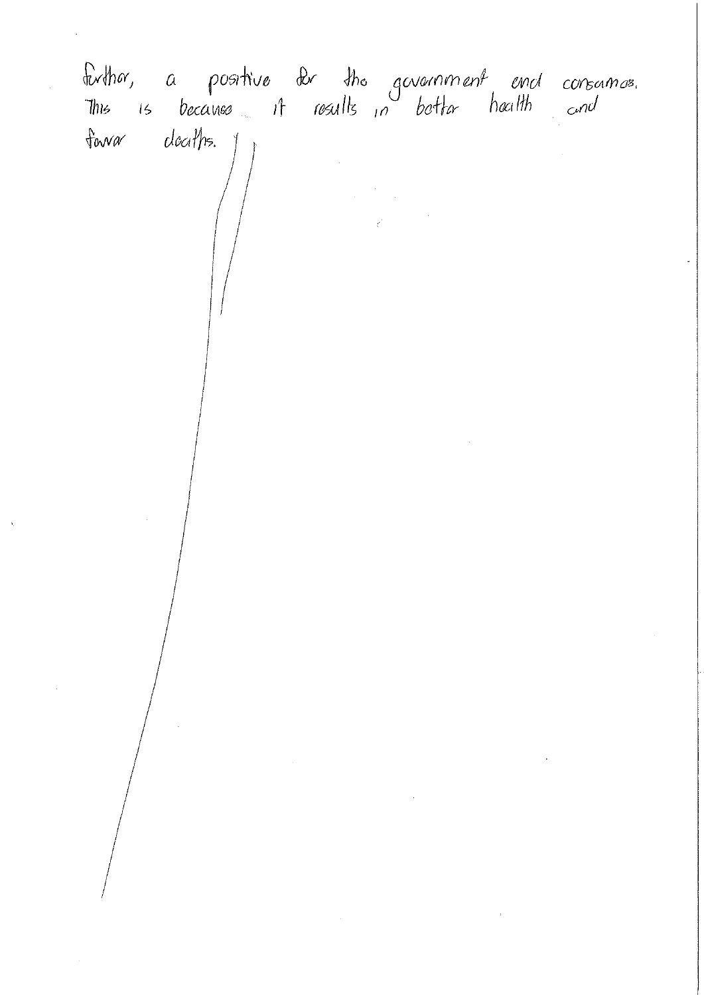finthor, a positive for the government end consamos.<br>This is because it results in bottor houth and forvar clociths. 1